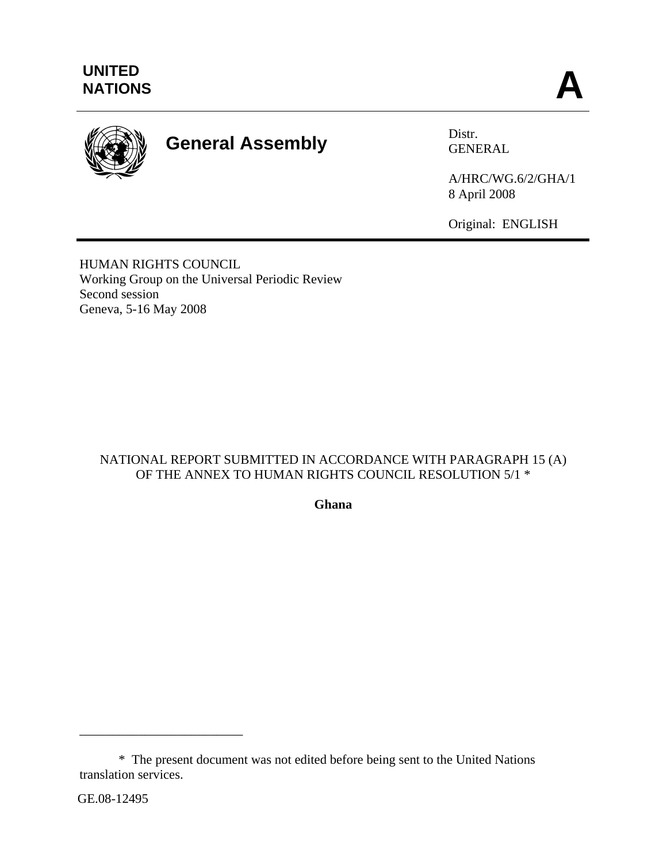

# **General Assembly** Distr. Distr.

GENERAL

A/HRC/WG.6/2/GHA/1 8 April 2008

Original: ENGLISH

HUMAN RIGHTS COUNCIL Working Group on the Universal Periodic Review Second session Geneva, 5-16 May 2008

# NATIONAL REPORT SUBMITTED IN ACCORDANCE WITH PARAGRAPH 15 (A) OF THE ANNEX TO HUMAN RIGHTS COUNCIL RESOLUTION 5/1  $^{\ast}$

**Ghana** 

\_\_\_\_\_\_\_\_\_\_\_\_\_\_\_\_\_\_\_\_\_\_\_\_\_

 <sup>\*</sup> The present document was not edited before being sent to the United Nations translation services.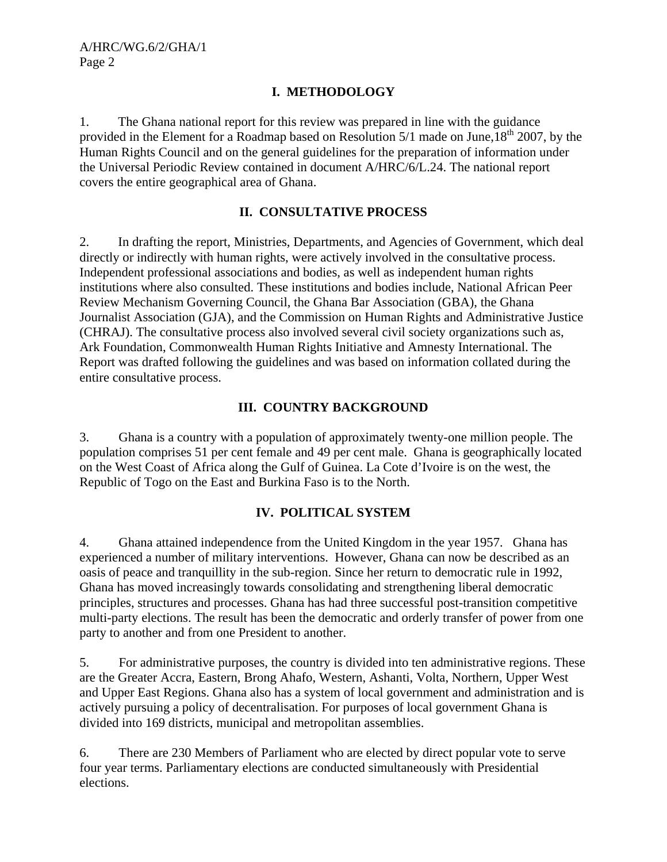# **I. METHODOLOGY**

1. The Ghana national report for this review was prepared in line with the guidance provided in the Element for a Roadmap based on Resolution  $5/1$  made on June,  $18<sup>th</sup>$  2007, by the Human Rights Council and on the general guidelines for the preparation of information under the Universal Periodic Review contained in document A/HRC/6/L.24. The national report covers the entire geographical area of Ghana.

#### **II. CONSULTATIVE PROCESS**

2. In drafting the report, Ministries, Departments, and Agencies of Government, which deal directly or indirectly with human rights, were actively involved in the consultative process. Independent professional associations and bodies, as well as independent human rights institutions where also consulted. These institutions and bodies include, National African Peer Review Mechanism Governing Council, the Ghana Bar Association (GBA), the Ghana Journalist Association (GJA), and the Commission on Human Rights and Administrative Justice (CHRAJ). The consultative process also involved several civil society organizations such as, Ark Foundation, Commonwealth Human Rights Initiative and Amnesty International. The Report was drafted following the guidelines and was based on information collated during the entire consultative process.

# **III. COUNTRY BACKGROUND**

3. Ghana is a country with a population of approximately twenty-one million people. The population comprises 51 per cent female and 49 per cent male. Ghana is geographically located on the West Coast of Africa along the Gulf of Guinea. La Cote d'Ivoire is on the west, the Republic of Togo on the East and Burkina Faso is to the North.

#### **IV. POLITICAL SYSTEM**

4. Ghana attained independence from the United Kingdom in the year 1957. Ghana has experienced a number of military interventions. However, Ghana can now be described as an oasis of peace and tranquillity in the sub-region. Since her return to democratic rule in 1992, Ghana has moved increasingly towards consolidating and strengthening liberal democratic principles, structures and processes. Ghana has had three successful post-transition competitive multi-party elections. The result has been the democratic and orderly transfer of power from one party to another and from one President to another.

5. For administrative purposes, the country is divided into ten administrative regions. These are the Greater Accra, Eastern, Brong Ahafo, Western, Ashanti, Volta, Northern, Upper West and Upper East Regions. Ghana also has a system of local government and administration and is actively pursuing a policy of decentralisation. For purposes of local government Ghana is divided into 169 districts, municipal and metropolitan assemblies.

6. There are 230 Members of Parliament who are elected by direct popular vote to serve four year terms. Parliamentary elections are conducted simultaneously with Presidential elections.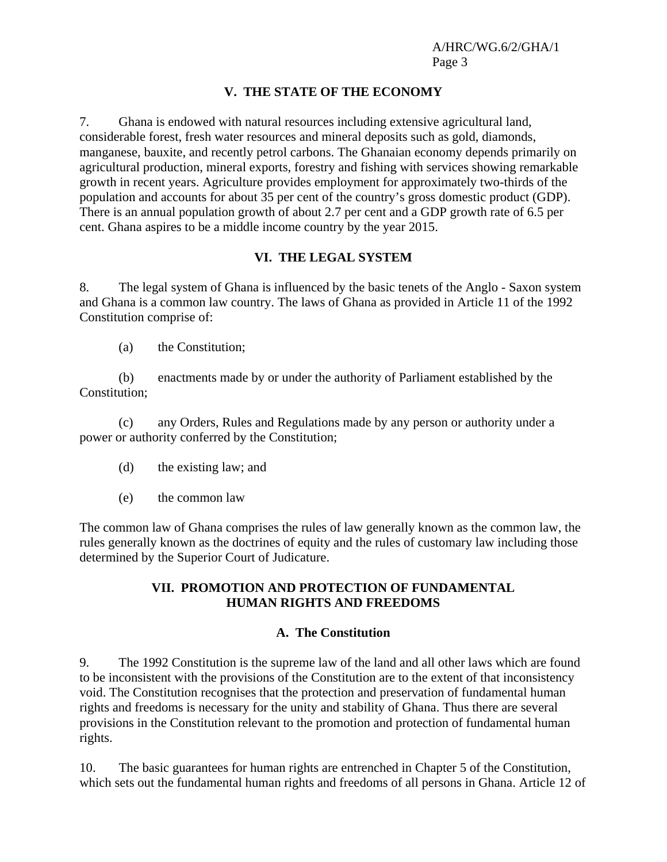# **V. THE STATE OF THE ECONOMY**

7. Ghana is endowed with natural resources including extensive agricultural land, considerable forest, fresh water resources and mineral deposits such as gold, diamonds, manganese, bauxite, and recently petrol carbons. The Ghanaian economy depends primarily on agricultural production, mineral exports, forestry and fishing with services showing remarkable growth in recent years. Agriculture provides employment for approximately two-thirds of the population and accounts for about 35 per cent of the country's gross domestic product (GDP). There is an annual population growth of about 2.7 per cent and a GDP growth rate of 6.5 per cent. Ghana aspires to be a middle income country by the year 2015.

#### **VI. THE LEGAL SYSTEM**

8. The legal system of Ghana is influenced by the basic tenets of the Anglo - Saxon system and Ghana is a common law country. The laws of Ghana as provided in Article 11 of the 1992 Constitution comprise of:

(a) the Constitution;

 (b) enactments made by or under the authority of Parliament established by the Constitution;

 (c) any Orders, Rules and Regulations made by any person or authority under a power or authority conferred by the Constitution;

- (d) the existing law; and
- (e) the common law

The common law of Ghana comprises the rules of law generally known as the common law, the rules generally known as the doctrines of equity and the rules of customary law including those determined by the Superior Court of Judicature.

# **VII. PROMOTION AND PROTECTION OF FUNDAMENTAL HUMAN RIGHTS AND FREEDOMS**

#### **A. The Constitution**

9. The 1992 Constitution is the supreme law of the land and all other laws which are found to be inconsistent with the provisions of the Constitution are to the extent of that inconsistency void. The Constitution recognises that the protection and preservation of fundamental human rights and freedoms is necessary for the unity and stability of Ghana. Thus there are several provisions in the Constitution relevant to the promotion and protection of fundamental human rights.

10. The basic guarantees for human rights are entrenched in Chapter 5 of the Constitution, which sets out the fundamental human rights and freedoms of all persons in Ghana. Article 12 of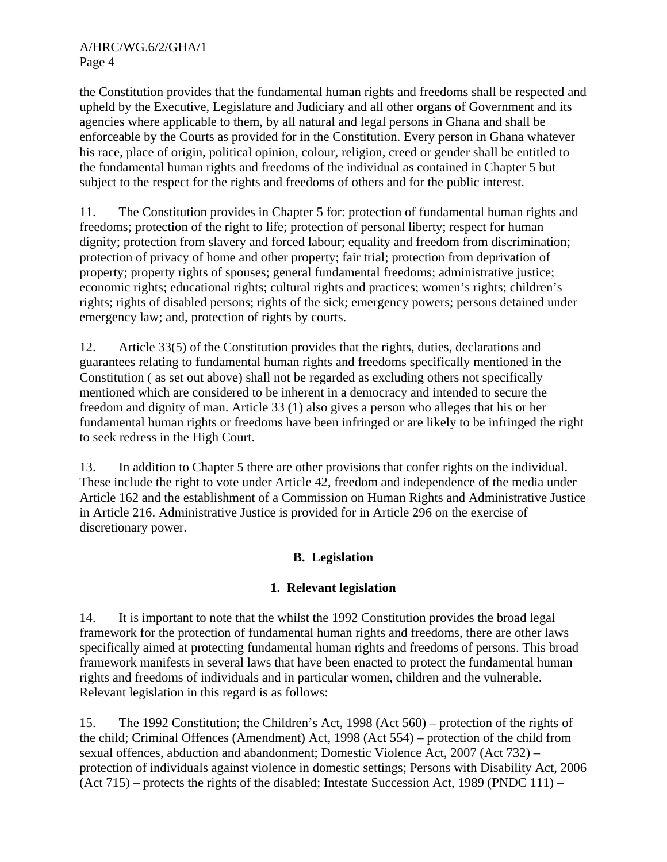the Constitution provides that the fundamental human rights and freedoms shall be respected and upheld by the Executive, Legislature and Judiciary and all other organs of Government and its agencies where applicable to them, by all natural and legal persons in Ghana and shall be enforceable by the Courts as provided for in the Constitution. Every person in Ghana whatever his race, place of origin, political opinion, colour, religion, creed or gender shall be entitled to the fundamental human rights and freedoms of the individual as contained in Chapter 5 but subject to the respect for the rights and freedoms of others and for the public interest.

11. The Constitution provides in Chapter 5 for: protection of fundamental human rights and freedoms; protection of the right to life; protection of personal liberty; respect for human dignity; protection from slavery and forced labour; equality and freedom from discrimination; protection of privacy of home and other property; fair trial; protection from deprivation of property; property rights of spouses; general fundamental freedoms; administrative justice; economic rights; educational rights; cultural rights and practices; women's rights; children's rights; rights of disabled persons; rights of the sick; emergency powers; persons detained under emergency law; and, protection of rights by courts.

12. Article 33(5) of the Constitution provides that the rights, duties, declarations and guarantees relating to fundamental human rights and freedoms specifically mentioned in the Constitution ( as set out above) shall not be regarded as excluding others not specifically mentioned which are considered to be inherent in a democracy and intended to secure the freedom and dignity of man. Article 33 (1) also gives a person who alleges that his or her fundamental human rights or freedoms have been infringed or are likely to be infringed the right to seek redress in the High Court.

13. In addition to Chapter 5 there are other provisions that confer rights on the individual. These include the right to vote under Article 42, freedom and independence of the media under Article 162 and the establishment of a Commission on Human Rights and Administrative Justice in Article 216. Administrative Justice is provided for in Article 296 on the exercise of discretionary power.

# **B. Legislation**

# **1. Relevant legislation**

14. It is important to note that the whilst the 1992 Constitution provides the broad legal framework for the protection of fundamental human rights and freedoms, there are other laws specifically aimed at protecting fundamental human rights and freedoms of persons. This broad framework manifests in several laws that have been enacted to protect the fundamental human rights and freedoms of individuals and in particular women, children and the vulnerable. Relevant legislation in this regard is as follows:

15. The 1992 Constitution; the Children's Act, 1998 (Act 560) – protection of the rights of the child; Criminal Offences (Amendment) Act, 1998 (Act 554) – protection of the child from sexual offences, abduction and abandonment; Domestic Violence Act, 2007 (Act 732) – protection of individuals against violence in domestic settings; Persons with Disability Act, 2006 (Act 715) – protects the rights of the disabled; Intestate Succession Act, 1989 (PNDC 111) –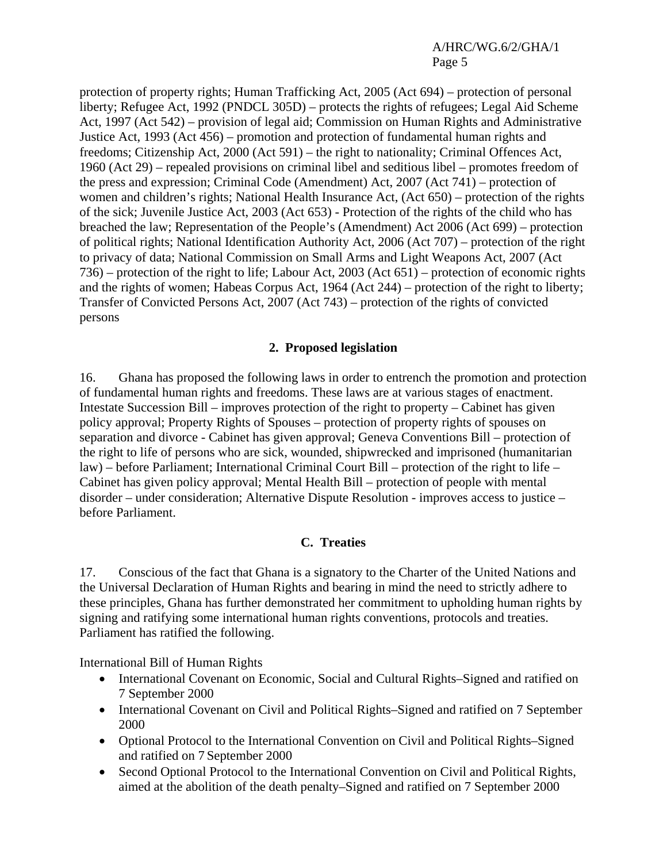protection of property rights; Human Trafficking Act, 2005 (Act 694) – protection of personal liberty; Refugee Act, 1992 (PNDCL 305D) – protects the rights of refugees; Legal Aid Scheme Act, 1997 (Act 542) – provision of legal aid; Commission on Human Rights and Administrative Justice Act, 1993 (Act 456) – promotion and protection of fundamental human rights and freedoms; Citizenship Act, 2000 (Act 591) – the right to nationality; Criminal Offences Act, 1960 (Act 29) – repealed provisions on criminal libel and seditious libel – promotes freedom of the press and expression; Criminal Code (Amendment) Act, 2007 (Act 741) – protection of women and children's rights; National Health Insurance Act, (Act 650) – protection of the rights of the sick; Juvenile Justice Act, 2003 (Act 653) - Protection of the rights of the child who has breached the law; Representation of the People's (Amendment) Act 2006 (Act 699) – protection of political rights; National Identification Authority Act, 2006 (Act 707) – protection of the right to privacy of data; National Commission on Small Arms and Light Weapons Act, 2007 (Act 736) – protection of the right to life; Labour Act, 2003 (Act 651) – protection of economic rights and the rights of women; Habeas Corpus Act, 1964 (Act 244) – protection of the right to liberty; Transfer of Convicted Persons Act, 2007 (Act 743) – protection of the rights of convicted persons

#### **2. Proposed legislation**

16. Ghana has proposed the following laws in order to entrench the promotion and protection of fundamental human rights and freedoms. These laws are at various stages of enactment. Intestate Succession Bill – improves protection of the right to property – Cabinet has given policy approval; Property Rights of Spouses – protection of property rights of spouses on separation and divorce - Cabinet has given approval; Geneva Conventions Bill – protection of the right to life of persons who are sick, wounded, shipwrecked and imprisoned (humanitarian law) – before Parliament; International Criminal Court Bill – protection of the right to life – Cabinet has given policy approval; Mental Health Bill – protection of people with mental disorder – under consideration; Alternative Dispute Resolution - improves access to justice – before Parliament.

# **C. Treaties**

17. Conscious of the fact that Ghana is a signatory to the Charter of the United Nations and the Universal Declaration of Human Rights and bearing in mind the need to strictly adhere to these principles, Ghana has further demonstrated her commitment to upholding human rights by signing and ratifying some international human rights conventions, protocols and treaties. Parliament has ratified the following.

International Bill of Human Rights

- International Covenant on Economic, Social and Cultural Rights–Signed and ratified on 7 September 2000
- International Covenant on Civil and Political Rights–Signed and ratified on 7 September 2000
- Optional Protocol to the International Convention on Civil and Political Rights–Signed and ratified on 7 September 2000
- Second Optional Protocol to the International Convention on Civil and Political Rights, aimed at the abolition of the death penalty–Signed and ratified on 7 September 2000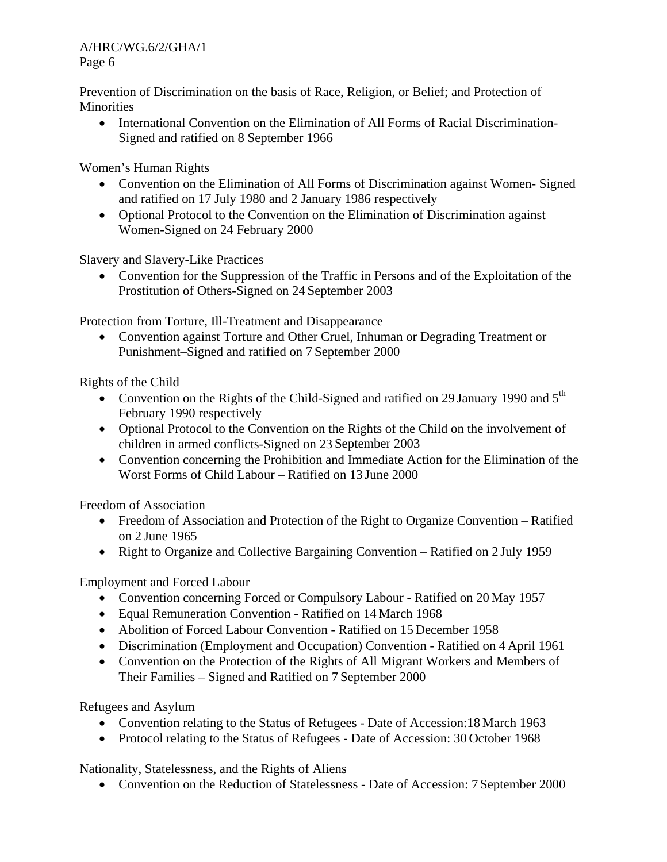Prevention of Discrimination on the basis of Race, Religion, or Belief; and Protection of **Minorities** 

• International Convention on the Elimination of All Forms of Racial Discrimination-Signed and ratified on 8 September 1966

Women's Human Rights

- Convention on the Elimination of All Forms of Discrimination against Women-Signed and ratified on 17 July 1980 and 2 January 1986 respectively
- Optional Protocol to the Convention on the Elimination of Discrimination against Women-Signed on 24 February 2000

Slavery and Slavery-Like Practices

• Convention for the Suppression of the Traffic in Persons and of the Exploitation of the Prostitution of Others-Signed on 24 September 2003

Protection from Torture, Ill-Treatment and Disappearance

• Convention against Torture and Other Cruel, Inhuman or Degrading Treatment or Punishment–Signed and ratified on 7 September 2000

Rights of the Child

- Convention on the Rights of the Child-Signed and ratified on 29 January 1990 and  $5<sup>th</sup>$ February 1990 respectively
- Optional Protocol to the Convention on the Rights of the Child on the involvement of children in armed conflicts-Signed on 23 September 2003
- Convention concerning the Prohibition and Immediate Action for the Elimination of the Worst Forms of Child Labour – Ratified on 13 June 2000

Freedom of Association

- Freedom of Association and Protection of the Right to Organize Convention Ratified on 2 June 1965
- Right to Organize and Collective Bargaining Convention Ratified on 2 July 1959

Employment and Forced Labour

- Convention concerning Forced or Compulsory Labour Ratified on 20 May 1957
- Equal Remuneration Convention Ratified on 14 March 1968
- Abolition of Forced Labour Convention Ratified on 15 December 1958
- Discrimination (Employment and Occupation) Convention Ratified on 4 April 1961
- Convention on the Protection of the Rights of All Migrant Workers and Members of Their Families – Signed and Ratified on 7 September 2000

Refugees and Asylum

- Convention relating to the Status of Refugees Date of Accession:18 March 1963
- Protocol relating to the Status of Refugees Date of Accession: 30 October 1968

Nationality, Statelessness, and the Rights of Aliens

• Convention on the Reduction of Statelessness - Date of Accession: 7 September 2000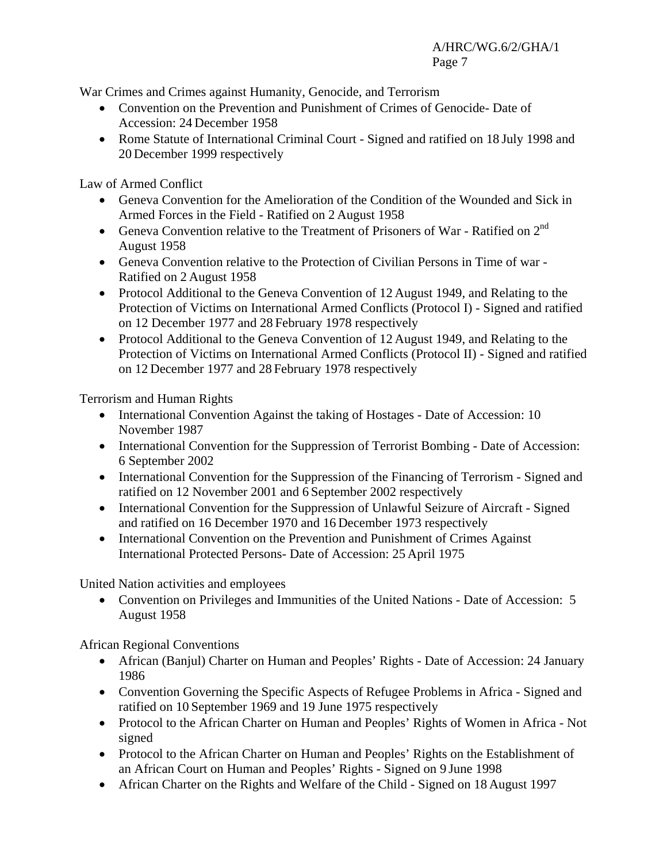War Crimes and Crimes against Humanity, Genocide, and Terrorism

- Convention on the Prevention and Punishment of Crimes of Genocide- Date of Accession: 24 December 1958
- Rome Statute of International Criminal Court Signed and ratified on 18 July 1998 and 20 December 1999 respectively

Law of Armed Conflict

- Geneva Convention for the Amelioration of the Condition of the Wounded and Sick in Armed Forces in the Field - Ratified on 2 August 1958
- Geneva Convention relative to the Treatment of Prisoners of War Ratified on 2<sup>nd</sup> August 1958
- Geneva Convention relative to the Protection of Civilian Persons in Time of war Ratified on 2 August 1958
- Protocol Additional to the Geneva Convention of 12 August 1949, and Relating to the Protection of Victims on International Armed Conflicts (Protocol I) - Signed and ratified on 12 December 1977 and 28 February 1978 respectively
- Protocol Additional to the Geneva Convention of 12 August 1949, and Relating to the Protection of Victims on International Armed Conflicts (Protocol II) - Signed and ratified on 12 December 1977 and 28 February 1978 respectively

Terrorism and Human Rights

- International Convention Against the taking of Hostages Date of Accession: 10 November 1987
- International Convention for the Suppression of Terrorist Bombing Date of Accession: 6 September 2002
- International Convention for the Suppression of the Financing of Terrorism Signed and ratified on 12 November 2001 and 6 September 2002 respectively
- International Convention for the Suppression of Unlawful Seizure of Aircraft Signed and ratified on 16 December 1970 and 16 December 1973 respectively
- International Convention on the Prevention and Punishment of Crimes Against International Protected Persons- Date of Accession: 25 April 1975

United Nation activities and employees

• Convention on Privileges and Immunities of the United Nations - Date of Accession: 5 August 1958

African Regional Conventions

- African (Banjul) Charter on Human and Peoples' Rights Date of Accession: 24 January 1986
- Convention Governing the Specific Aspects of Refugee Problems in Africa Signed and ratified on 10 September 1969 and 19 June 1975 respectively
- Protocol to the African Charter on Human and Peoples' Rights of Women in Africa Not signed
- Protocol to the African Charter on Human and Peoples' Rights on the Establishment of an African Court on Human and Peoples' Rights - Signed on 9 June 1998
- African Charter on the Rights and Welfare of the Child Signed on 18 August 1997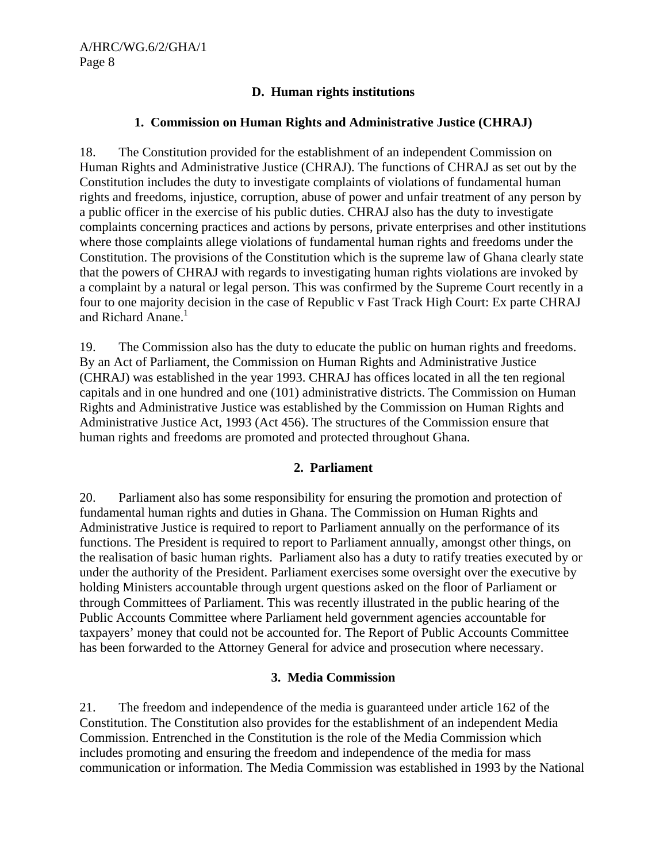# **D. Human rights institutions**

#### **1. Commission on Human Rights and Administrative Justice (CHRAJ)**

18. The Constitution provided for the establishment of an independent Commission on Human Rights and Administrative Justice (CHRAJ). The functions of CHRAJ as set out by the Constitution includes the duty to investigate complaints of violations of fundamental human rights and freedoms, injustice, corruption, abuse of power and unfair treatment of any person by a public officer in the exercise of his public duties. CHRAJ also has the duty to investigate complaints concerning practices and actions by persons, private enterprises and other institutions where those complaints allege violations of fundamental human rights and freedoms under the Constitution. The provisions of the Constitution which is the supreme law of Ghana clearly state that the powers of CHRAJ with regards to investigating human rights violations are invoked by a complaint by a natural or legal person. This was confirmed by the Supreme Court recently in a four to one majority decision in the case of Republic v Fast Track High Court: Ex parte CHRAJ and Richard Anane.<sup>1</sup>

19. The Commission also has the duty to educate the public on human rights and freedoms. By an Act of Parliament, the Commission on Human Rights and Administrative Justice (CHRAJ) was established in the year 1993. CHRAJ has offices located in all the ten regional capitals and in one hundred and one (101) administrative districts. The Commission on Human Rights and Administrative Justice was established by the Commission on Human Rights and Administrative Justice Act, 1993 (Act 456). The structures of the Commission ensure that human rights and freedoms are promoted and protected throughout Ghana.

# **2. Parliament**

20. Parliament also has some responsibility for ensuring the promotion and protection of fundamental human rights and duties in Ghana. The Commission on Human Rights and Administrative Justice is required to report to Parliament annually on the performance of its functions. The President is required to report to Parliament annually, amongst other things, on the realisation of basic human rights. Parliament also has a duty to ratify treaties executed by or under the authority of the President. Parliament exercises some oversight over the executive by holding Ministers accountable through urgent questions asked on the floor of Parliament or through Committees of Parliament. This was recently illustrated in the public hearing of the Public Accounts Committee where Parliament held government agencies accountable for taxpayers' money that could not be accounted for. The Report of Public Accounts Committee has been forwarded to the Attorney General for advice and prosecution where necessary.

#### **3. Media Commission**

21. The freedom and independence of the media is guaranteed under article 162 of the Constitution. The Constitution also provides for the establishment of an independent Media Commission. Entrenched in the Constitution is the role of the Media Commission which includes promoting and ensuring the freedom and independence of the media for mass communication or information. The Media Commission was established in 1993 by the National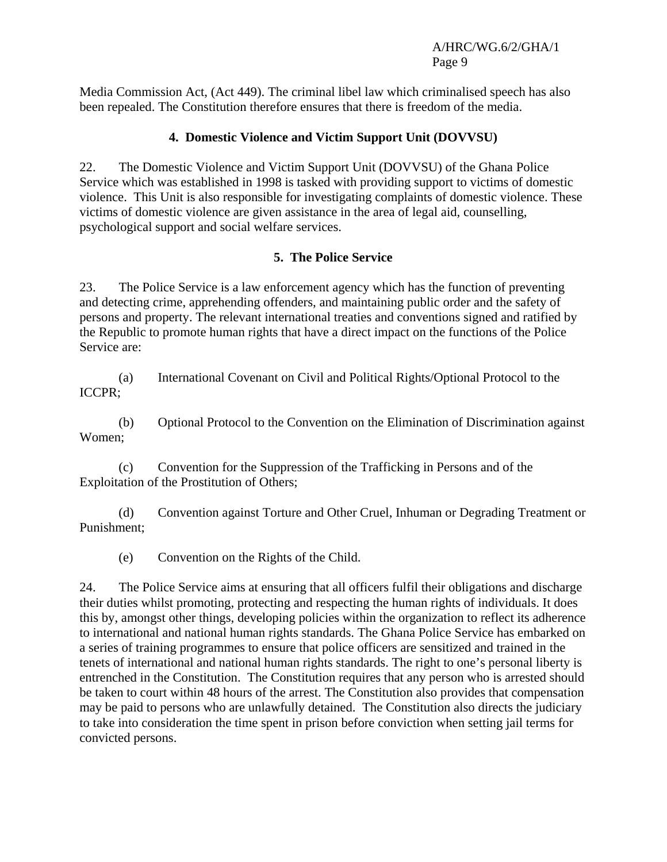Media Commission Act, (Act 449). The criminal libel law which criminalised speech has also been repealed. The Constitution therefore ensures that there is freedom of the media.

# **4. Domestic Violence and Victim Support Unit (DOVVSU)**

22. The Domestic Violence and Victim Support Unit (DOVVSU) of the Ghana Police Service which was established in 1998 is tasked with providing support to victims of domestic violence. This Unit is also responsible for investigating complaints of domestic violence. These victims of domestic violence are given assistance in the area of legal aid, counselling, psychological support and social welfare services.

# **5. The Police Service**

23. The Police Service is a law enforcement agency which has the function of preventing and detecting crime, apprehending offenders, and maintaining public order and the safety of persons and property. The relevant international treaties and conventions signed and ratified by the Republic to promote human rights that have a direct impact on the functions of the Police Service are:

 (a) International Covenant on Civil and Political Rights/Optional Protocol to the ICCPR;

 (b) Optional Protocol to the Convention on the Elimination of Discrimination against Women;

 (c) Convention for the Suppression of the Trafficking in Persons and of the Exploitation of the Prostitution of Others;

 (d) Convention against Torture and Other Cruel, Inhuman or Degrading Treatment or Punishment;

(e) Convention on the Rights of the Child.

24. The Police Service aims at ensuring that all officers fulfil their obligations and discharge their duties whilst promoting, protecting and respecting the human rights of individuals. It does this by, amongst other things, developing policies within the organization to reflect its adherence to international and national human rights standards. The Ghana Police Service has embarked on a series of training programmes to ensure that police officers are sensitized and trained in the tenets of international and national human rights standards. The right to one's personal liberty is entrenched in the Constitution. The Constitution requires that any person who is arrested should be taken to court within 48 hours of the arrest. The Constitution also provides that compensation may be paid to persons who are unlawfully detained. The Constitution also directs the judiciary to take into consideration the time spent in prison before conviction when setting jail terms for convicted persons.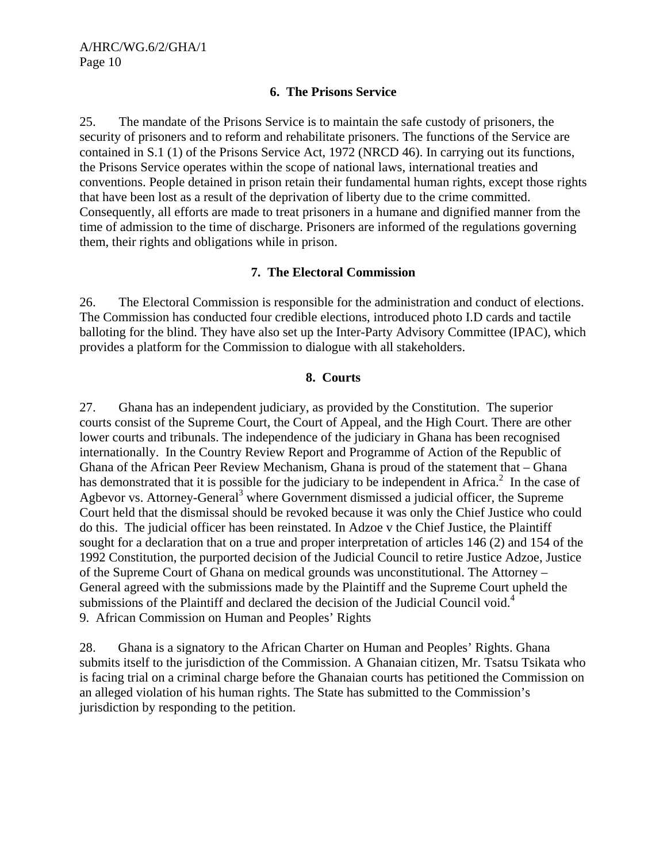#### **6. The Prisons Service**

25. The mandate of the Prisons Service is to maintain the safe custody of prisoners, the security of prisoners and to reform and rehabilitate prisoners. The functions of the Service are contained in S.1 (1) of the Prisons Service Act, 1972 (NRCD 46). In carrying out its functions, the Prisons Service operates within the scope of national laws, international treaties and conventions. People detained in prison retain their fundamental human rights, except those rights that have been lost as a result of the deprivation of liberty due to the crime committed. Consequently, all efforts are made to treat prisoners in a humane and dignified manner from the time of admission to the time of discharge. Prisoners are informed of the regulations governing them, their rights and obligations while in prison.

# **7. The Electoral Commission**

26. The Electoral Commission is responsible for the administration and conduct of elections. The Commission has conducted four credible elections, introduced photo I.D cards and tactile balloting for the blind. They have also set up the Inter-Party Advisory Committee (IPAC), which provides a platform for the Commission to dialogue with all stakeholders.

# **8. Courts**

27. Ghana has an independent judiciary, as provided by the Constitution. The superior courts consist of the Supreme Court, the Court of Appeal, and the High Court. There are other lower courts and tribunals. The independence of the judiciary in Ghana has been recognised internationally. In the Country Review Report and Programme of Action of the Republic of Ghana of the African Peer Review Mechanism, Ghana is proud of the statement that – Ghana has demonstrated that it is possible for the judiciary to be independent in Africa.<sup>2</sup> In the case of Agbevor vs. Attorney-General<sup>3</sup> where Government dismissed a judicial officer, the Supreme Court held that the dismissal should be revoked because it was only the Chief Justice who could do this. The judicial officer has been reinstated. In Adzoe v the Chief Justice, the Plaintiff sought for a declaration that on a true and proper interpretation of articles 146 (2) and 154 of the 1992 Constitution, the purported decision of the Judicial Council to retire Justice Adzoe, Justice of the Supreme Court of Ghana on medical grounds was unconstitutional. The Attorney – General agreed with the submissions made by the Plaintiff and the Supreme Court upheld the submissions of the Plaintiff and declared the decision of the Judicial Council void.<sup>4</sup> 9. African Commission on Human and Peoples' Rights

28. Ghana is a signatory to the African Charter on Human and Peoples' Rights. Ghana submits itself to the jurisdiction of the Commission. A Ghanaian citizen, Mr. Tsatsu Tsikata who is facing trial on a criminal charge before the Ghanaian courts has petitioned the Commission on an alleged violation of his human rights. The State has submitted to the Commission's jurisdiction by responding to the petition.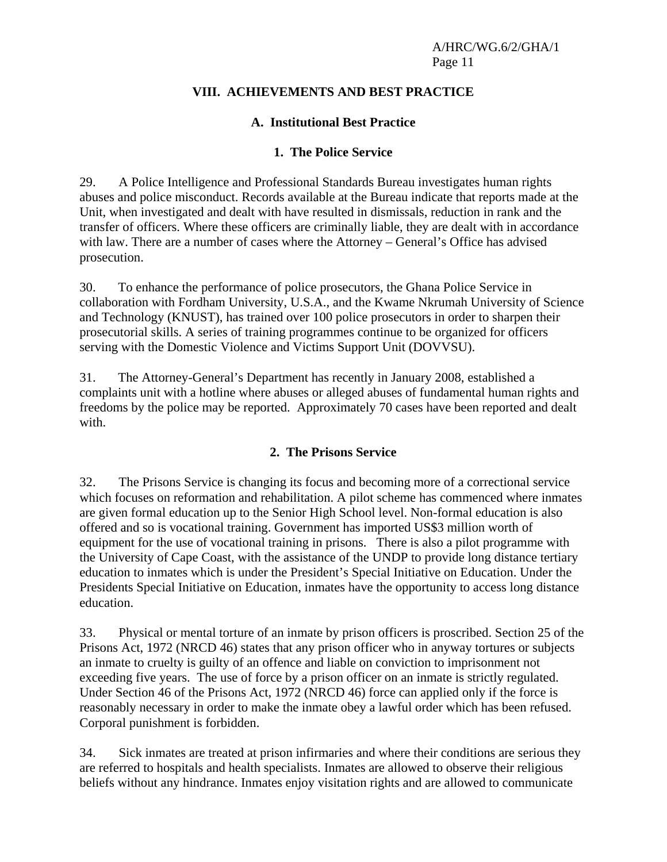# **VIII. ACHIEVEMENTS AND BEST PRACTICE**

# **A. Institutional Best Practice**

#### **1. The Police Service**

29. A Police Intelligence and Professional Standards Bureau investigates human rights abuses and police misconduct. Records available at the Bureau indicate that reports made at the Unit, when investigated and dealt with have resulted in dismissals, reduction in rank and the transfer of officers. Where these officers are criminally liable, they are dealt with in accordance with law. There are a number of cases where the Attorney – General's Office has advised prosecution.

30. To enhance the performance of police prosecutors, the Ghana Police Service in collaboration with Fordham University, U.S.A., and the Kwame Nkrumah University of Science and Technology (KNUST), has trained over 100 police prosecutors in order to sharpen their prosecutorial skills. A series of training programmes continue to be organized for officers serving with the Domestic Violence and Victims Support Unit (DOVVSU).

31. The Attorney-General's Department has recently in January 2008, established a complaints unit with a hotline where abuses or alleged abuses of fundamental human rights and freedoms by the police may be reported. Approximately 70 cases have been reported and dealt with.

#### **2. The Prisons Service**

32. The Prisons Service is changing its focus and becoming more of a correctional service which focuses on reformation and rehabilitation. A pilot scheme has commenced where inmates are given formal education up to the Senior High School level. Non-formal education is also offered and so is vocational training. Government has imported US\$3 million worth of equipment for the use of vocational training in prisons. There is also a pilot programme with the University of Cape Coast, with the assistance of the UNDP to provide long distance tertiary education to inmates which is under the President's Special Initiative on Education. Under the Presidents Special Initiative on Education, inmates have the opportunity to access long distance education.

33. Physical or mental torture of an inmate by prison officers is proscribed. Section 25 of the Prisons Act, 1972 (NRCD 46) states that any prison officer who in anyway tortures or subjects an inmate to cruelty is guilty of an offence and liable on conviction to imprisonment not exceeding five years. The use of force by a prison officer on an inmate is strictly regulated. Under Section 46 of the Prisons Act, 1972 (NRCD 46) force can applied only if the force is reasonably necessary in order to make the inmate obey a lawful order which has been refused. Corporal punishment is forbidden.

34. Sick inmates are treated at prison infirmaries and where their conditions are serious they are referred to hospitals and health specialists. Inmates are allowed to observe their religious beliefs without any hindrance. Inmates enjoy visitation rights and are allowed to communicate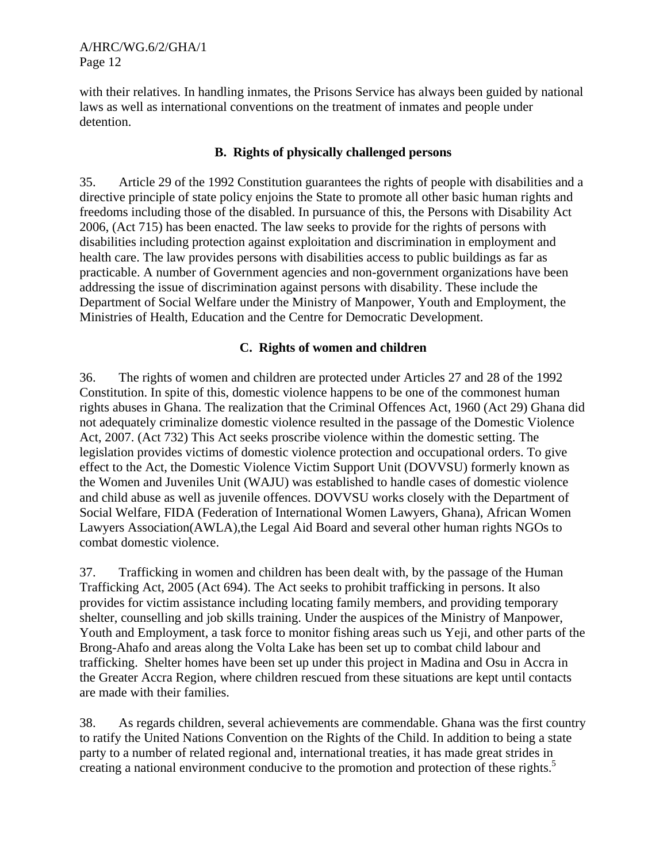with their relatives. In handling inmates, the Prisons Service has always been guided by national laws as well as international conventions on the treatment of inmates and people under detention.

#### **B. Rights of physically challenged persons**

35. Article 29 of the 1992 Constitution guarantees the rights of people with disabilities and a directive principle of state policy enjoins the State to promote all other basic human rights and freedoms including those of the disabled. In pursuance of this, the Persons with Disability Act 2006, (Act 715) has been enacted. The law seeks to provide for the rights of persons with disabilities including protection against exploitation and discrimination in employment and health care. The law provides persons with disabilities access to public buildings as far as practicable. A number of Government agencies and non-government organizations have been addressing the issue of discrimination against persons with disability. These include the Department of Social Welfare under the Ministry of Manpower, Youth and Employment, the Ministries of Health, Education and the Centre for Democratic Development.

#### **C. Rights of women and children**

36. The rights of women and children are protected under Articles 27 and 28 of the 1992 Constitution. In spite of this, domestic violence happens to be one of the commonest human rights abuses in Ghana. The realization that the Criminal Offences Act, 1960 (Act 29) Ghana did not adequately criminalize domestic violence resulted in the passage of the Domestic Violence Act, 2007. (Act 732) This Act seeks proscribe violence within the domestic setting. The legislation provides victims of domestic violence protection and occupational orders. To give effect to the Act, the Domestic Violence Victim Support Unit (DOVVSU) formerly known as the Women and Juveniles Unit (WAJU) was established to handle cases of domestic violence and child abuse as well as juvenile offences. DOVVSU works closely with the Department of Social Welfare, FIDA (Federation of International Women Lawyers, Ghana), African Women Lawyers Association(AWLA),the Legal Aid Board and several other human rights NGOs to combat domestic violence.

37. Trafficking in women and children has been dealt with, by the passage of the Human Trafficking Act, 2005 (Act 694). The Act seeks to prohibit trafficking in persons. It also provides for victim assistance including locating family members, and providing temporary shelter, counselling and job skills training. Under the auspices of the Ministry of Manpower, Youth and Employment, a task force to monitor fishing areas such us Yeji, and other parts of the Brong-Ahafo and areas along the Volta Lake has been set up to combat child labour and trafficking. Shelter homes have been set up under this project in Madina and Osu in Accra in the Greater Accra Region, where children rescued from these situations are kept until contacts are made with their families.

38. As regards children, several achievements are commendable. Ghana was the first country to ratify the United Nations Convention on the Rights of the Child. In addition to being a state party to a number of related regional and, international treaties, it has made great strides in creating a national environment conducive to the promotion and protection of these rights.<sup>5</sup>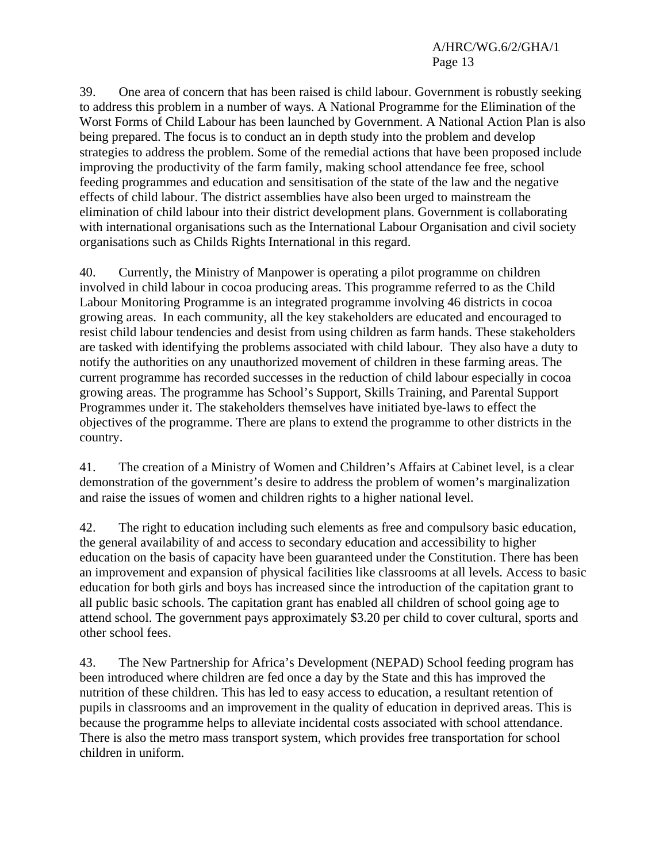39. One area of concern that has been raised is child labour. Government is robustly seeking to address this problem in a number of ways. A National Programme for the Elimination of the Worst Forms of Child Labour has been launched by Government. A National Action Plan is also being prepared. The focus is to conduct an in depth study into the problem and develop strategies to address the problem. Some of the remedial actions that have been proposed include improving the productivity of the farm family, making school attendance fee free, school feeding programmes and education and sensitisation of the state of the law and the negative effects of child labour. The district assemblies have also been urged to mainstream the elimination of child labour into their district development plans. Government is collaborating with international organisations such as the International Labour Organisation and civil society organisations such as Childs Rights International in this regard.

40. Currently, the Ministry of Manpower is operating a pilot programme on children involved in child labour in cocoa producing areas. This programme referred to as the Child Labour Monitoring Programme is an integrated programme involving 46 districts in cocoa growing areas. In each community, all the key stakeholders are educated and encouraged to resist child labour tendencies and desist from using children as farm hands. These stakeholders are tasked with identifying the problems associated with child labour. They also have a duty to notify the authorities on any unauthorized movement of children in these farming areas. The current programme has recorded successes in the reduction of child labour especially in cocoa growing areas. The programme has School's Support, Skills Training, and Parental Support Programmes under it. The stakeholders themselves have initiated bye-laws to effect the objectives of the programme. There are plans to extend the programme to other districts in the country.

41. The creation of a Ministry of Women and Children's Affairs at Cabinet level, is a clear demonstration of the government's desire to address the problem of women's marginalization and raise the issues of women and children rights to a higher national level.

42. The right to education including such elements as free and compulsory basic education, the general availability of and access to secondary education and accessibility to higher education on the basis of capacity have been guaranteed under the Constitution. There has been an improvement and expansion of physical facilities like classrooms at all levels. Access to basic education for both girls and boys has increased since the introduction of the capitation grant to all public basic schools. The capitation grant has enabled all children of school going age to attend school. The government pays approximately \$3.20 per child to cover cultural, sports and other school fees.

43. The New Partnership for Africa's Development (NEPAD) School feeding program has been introduced where children are fed once a day by the State and this has improved the nutrition of these children. This has led to easy access to education, a resultant retention of pupils in classrooms and an improvement in the quality of education in deprived areas. This is because the programme helps to alleviate incidental costs associated with school attendance. There is also the metro mass transport system, which provides free transportation for school children in uniform.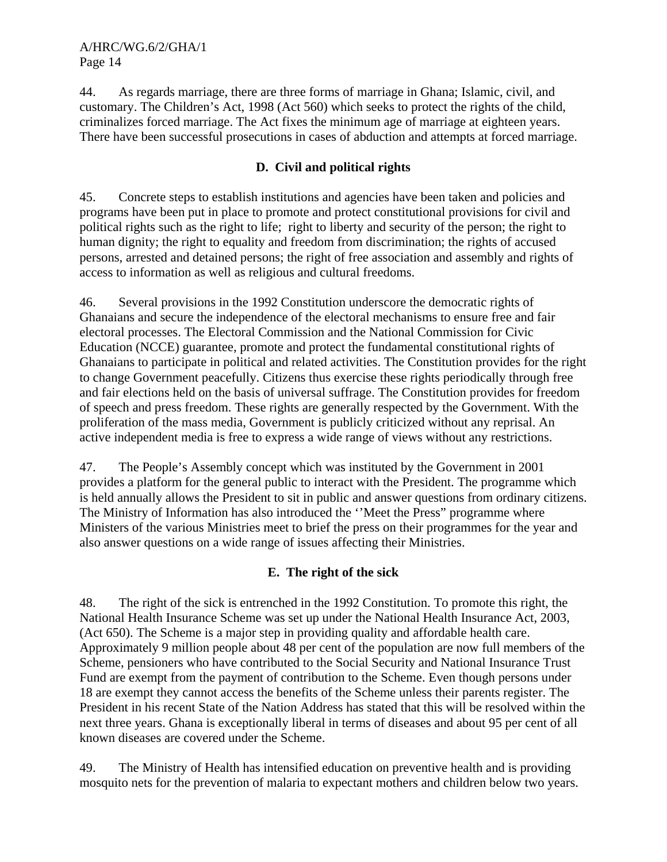44. As regards marriage, there are three forms of marriage in Ghana; Islamic, civil, and customary. The Children's Act, 1998 (Act 560) which seeks to protect the rights of the child, criminalizes forced marriage. The Act fixes the minimum age of marriage at eighteen years. There have been successful prosecutions in cases of abduction and attempts at forced marriage.

# **D. Civil and political rights**

45. Concrete steps to establish institutions and agencies have been taken and policies and programs have been put in place to promote and protect constitutional provisions for civil and political rights such as the right to life; right to liberty and security of the person; the right to human dignity; the right to equality and freedom from discrimination; the rights of accused persons, arrested and detained persons; the right of free association and assembly and rights of access to information as well as religious and cultural freedoms.

46. Several provisions in the 1992 Constitution underscore the democratic rights of Ghanaians and secure the independence of the electoral mechanisms to ensure free and fair electoral processes. The Electoral Commission and the National Commission for Civic Education (NCCE) guarantee, promote and protect the fundamental constitutional rights of Ghanaians to participate in political and related activities. The Constitution provides for the right to change Government peacefully. Citizens thus exercise these rights periodically through free and fair elections held on the basis of universal suffrage. The Constitution provides for freedom of speech and press freedom. These rights are generally respected by the Government. With the proliferation of the mass media, Government is publicly criticized without any reprisal. An active independent media is free to express a wide range of views without any restrictions.

47. The People's Assembly concept which was instituted by the Government in 2001 provides a platform for the general public to interact with the President. The programme which is held annually allows the President to sit in public and answer questions from ordinary citizens. The Ministry of Information has also introduced the ''Meet the Press" programme where Ministers of the various Ministries meet to brief the press on their programmes for the year and also answer questions on a wide range of issues affecting their Ministries.

# **E. The right of the sick**

48. The right of the sick is entrenched in the 1992 Constitution. To promote this right, the National Health Insurance Scheme was set up under the National Health Insurance Act, 2003, (Act 650). The Scheme is a major step in providing quality and affordable health care. Approximately 9 million people about 48 per cent of the population are now full members of the Scheme, pensioners who have contributed to the Social Security and National Insurance Trust Fund are exempt from the payment of contribution to the Scheme. Even though persons under 18 are exempt they cannot access the benefits of the Scheme unless their parents register. The President in his recent State of the Nation Address has stated that this will be resolved within the next three years. Ghana is exceptionally liberal in terms of diseases and about 95 per cent of all known diseases are covered under the Scheme.

49. The Ministry of Health has intensified education on preventive health and is providing mosquito nets for the prevention of malaria to expectant mothers and children below two years.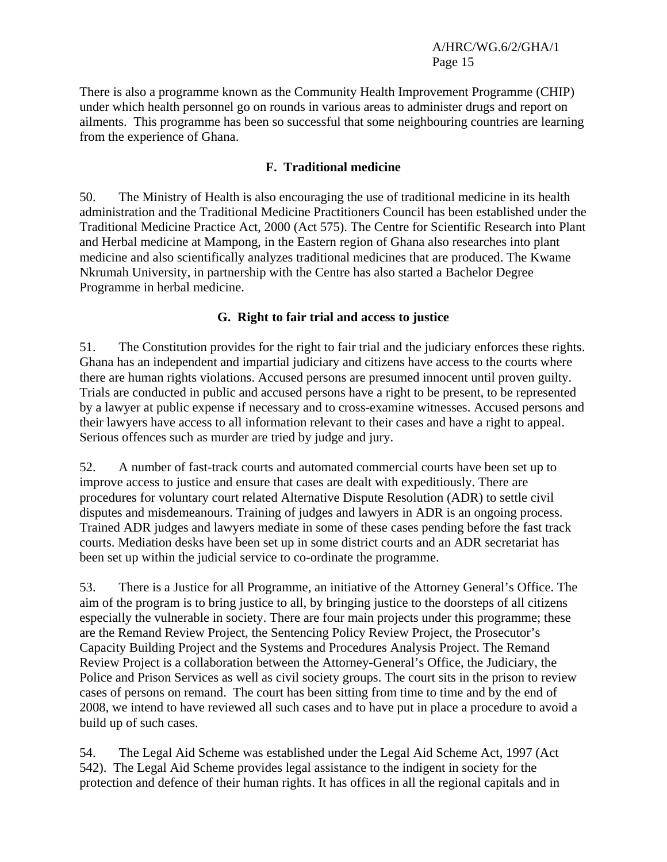There is also a programme known as the Community Health Improvement Programme (CHIP) under which health personnel go on rounds in various areas to administer drugs and report on ailments. This programme has been so successful that some neighbouring countries are learning from the experience of Ghana.

#### **F. Traditional medicine**

50. The Ministry of Health is also encouraging the use of traditional medicine in its health administration and the Traditional Medicine Practitioners Council has been established under the Traditional Medicine Practice Act, 2000 (Act 575). The Centre for Scientific Research into Plant and Herbal medicine at Mampong, in the Eastern region of Ghana also researches into plant medicine and also scientifically analyzes traditional medicines that are produced. The Kwame Nkrumah University, in partnership with the Centre has also started a Bachelor Degree Programme in herbal medicine.

# **G. Right to fair trial and access to justice**

51. The Constitution provides for the right to fair trial and the judiciary enforces these rights. Ghana has an independent and impartial judiciary and citizens have access to the courts where there are human rights violations. Accused persons are presumed innocent until proven guilty. Trials are conducted in public and accused persons have a right to be present, to be represented by a lawyer at public expense if necessary and to cross-examine witnesses. Accused persons and their lawyers have access to all information relevant to their cases and have a right to appeal. Serious offences such as murder are tried by judge and jury.

52. A number of fast-track courts and automated commercial courts have been set up to improve access to justice and ensure that cases are dealt with expeditiously. There are procedures for voluntary court related Alternative Dispute Resolution (ADR) to settle civil disputes and misdemeanours. Training of judges and lawyers in ADR is an ongoing process. Trained ADR judges and lawyers mediate in some of these cases pending before the fast track courts. Mediation desks have been set up in some district courts and an ADR secretariat has been set up within the judicial service to co-ordinate the programme.

53. There is a Justice for all Programme, an initiative of the Attorney General's Office. The aim of the program is to bring justice to all, by bringing justice to the doorsteps of all citizens especially the vulnerable in society. There are four main projects under this programme; these are the Remand Review Project, the Sentencing Policy Review Project, the Prosecutor's Capacity Building Project and the Systems and Procedures Analysis Project. The Remand Review Project is a collaboration between the Attorney-General's Office, the Judiciary, the Police and Prison Services as well as civil society groups. The court sits in the prison to review cases of persons on remand. The court has been sitting from time to time and by the end of 2008, we intend to have reviewed all such cases and to have put in place a procedure to avoid a build up of such cases.

54. The Legal Aid Scheme was established under the Legal Aid Scheme Act, 1997 (Act 542). The Legal Aid Scheme provides legal assistance to the indigent in society for the protection and defence of their human rights. It has offices in all the regional capitals and in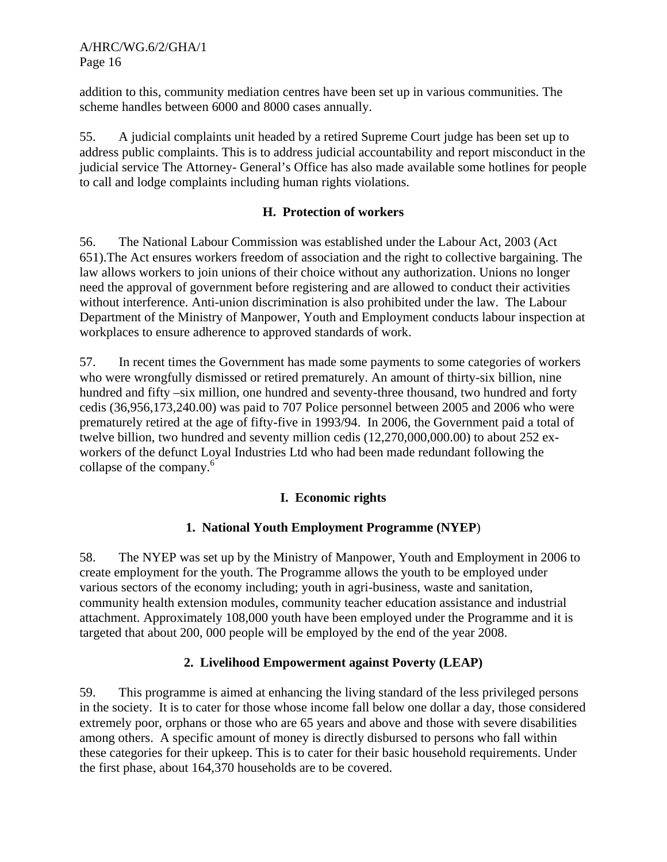addition to this, community mediation centres have been set up in various communities. The scheme handles between 6000 and 8000 cases annually.

55. A judicial complaints unit headed by a retired Supreme Court judge has been set up to address public complaints. This is to address judicial accountability and report misconduct in the judicial service The Attorney- General's Office has also made available some hotlines for people to call and lodge complaints including human rights violations.

# **H. Protection of workers**

56. The National Labour Commission was established under the Labour Act, 2003 (Act 651).The Act ensures workers freedom of association and the right to collective bargaining. The law allows workers to join unions of their choice without any authorization. Unions no longer need the approval of government before registering and are allowed to conduct their activities without interference. Anti-union discrimination is also prohibited under the law. The Labour Department of the Ministry of Manpower, Youth and Employment conducts labour inspection at workplaces to ensure adherence to approved standards of work.

57. In recent times the Government has made some payments to some categories of workers who were wrongfully dismissed or retired prematurely. An amount of thirty-six billion, nine hundred and fifty –six million, one hundred and seventy-three thousand, two hundred and forty cedis (36,956,173,240.00) was paid to 707 Police personnel between 2005 and 2006 who were prematurely retired at the age of fifty-five in 1993/94. In 2006, the Government paid a total of twelve billion, two hundred and seventy million cedis (12,270,000,000.00) to about 252 exworkers of the defunct Loyal Industries Ltd who had been made redundant following the collapse of the company.<sup>6</sup>

# **I. Economic rights**

# **1. National Youth Employment Programme (NYEP**)

58. The NYEP was set up by the Ministry of Manpower, Youth and Employment in 2006 to create employment for the youth. The Programme allows the youth to be employed under various sectors of the economy including; youth in agri-business, waste and sanitation, community health extension modules, community teacher education assistance and industrial attachment. Approximately 108,000 youth have been employed under the Programme and it is targeted that about 200, 000 people will be employed by the end of the year 2008.

# **2. Livelihood Empowerment against Poverty (LEAP)**

59. This programme is aimed at enhancing the living standard of the less privileged persons in the society. It is to cater for those whose income fall below one dollar a day, those considered extremely poor, orphans or those who are 65 years and above and those with severe disabilities among others. A specific amount of money is directly disbursed to persons who fall within these categories for their upkeep. This is to cater for their basic household requirements. Under the first phase, about 164,370 households are to be covered.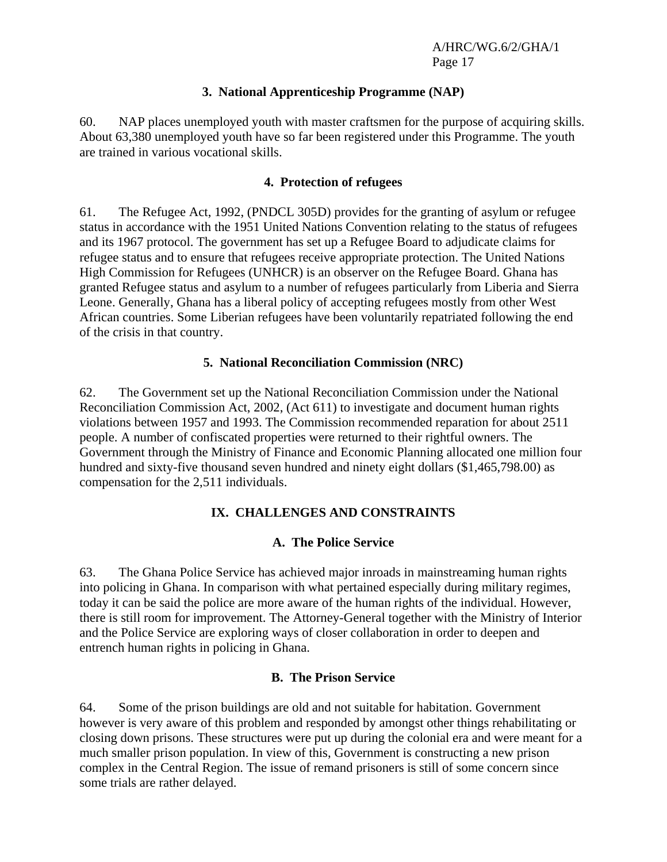#### **3. National Apprenticeship Programme (NAP)**

60. NAP places unemployed youth with master craftsmen for the purpose of acquiring skills. About 63,380 unemployed youth have so far been registered under this Programme. The youth are trained in various vocational skills.

#### **4. Protection of refugees**

61. The Refugee Act, 1992, (PNDCL 305D) provides for the granting of asylum or refugee status in accordance with the 1951 United Nations Convention relating to the status of refugees and its 1967 protocol. The government has set up a Refugee Board to adjudicate claims for refugee status and to ensure that refugees receive appropriate protection. The United Nations High Commission for Refugees (UNHCR) is an observer on the Refugee Board. Ghana has granted Refugee status and asylum to a number of refugees particularly from Liberia and Sierra Leone. Generally, Ghana has a liberal policy of accepting refugees mostly from other West African countries. Some Liberian refugees have been voluntarily repatriated following the end of the crisis in that country.

#### **5. National Reconciliation Commission (NRC)**

62. The Government set up the National Reconciliation Commission under the National Reconciliation Commission Act, 2002, (Act 611) to investigate and document human rights violations between 1957 and 1993. The Commission recommended reparation for about 2511 people. A number of confiscated properties were returned to their rightful owners. The Government through the Ministry of Finance and Economic Planning allocated one million four hundred and sixty-five thousand seven hundred and ninety eight dollars (\$1,465,798.00) as compensation for the 2,511 individuals.

# **IX. CHALLENGES AND CONSTRAINTS**

#### **A. The Police Service**

63. The Ghana Police Service has achieved major inroads in mainstreaming human rights into policing in Ghana. In comparison with what pertained especially during military regimes, today it can be said the police are more aware of the human rights of the individual. However, there is still room for improvement. The Attorney-General together with the Ministry of Interior and the Police Service are exploring ways of closer collaboration in order to deepen and entrench human rights in policing in Ghana.

#### **B. The Prison Service**

64. Some of the prison buildings are old and not suitable for habitation. Government however is very aware of this problem and responded by amongst other things rehabilitating or closing down prisons. These structures were put up during the colonial era and were meant for a much smaller prison population. In view of this, Government is constructing a new prison complex in the Central Region. The issue of remand prisoners is still of some concern since some trials are rather delayed.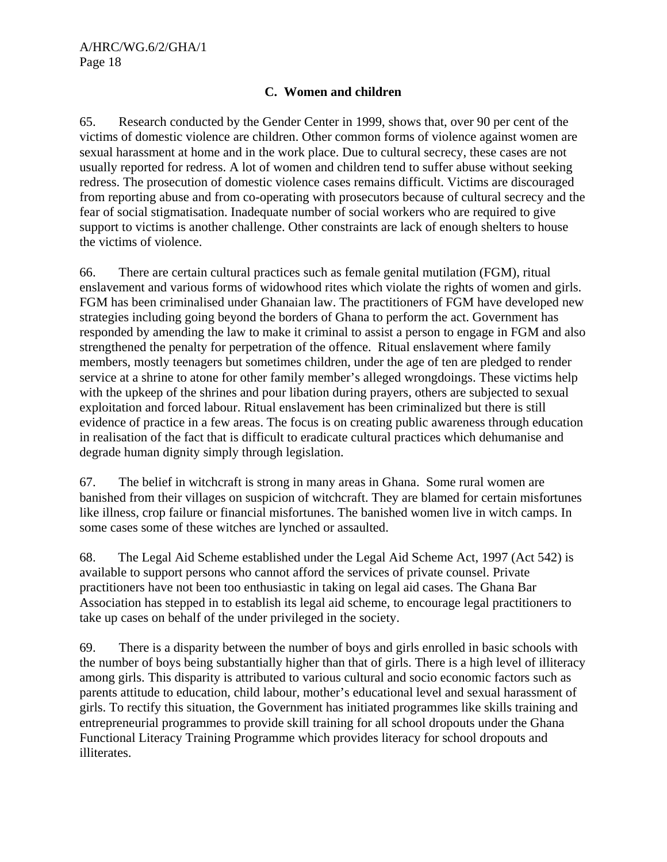#### **C. Women and children**

65. Research conducted by the Gender Center in 1999, shows that, over 90 per cent of the victims of domestic violence are children. Other common forms of violence against women are sexual harassment at home and in the work place. Due to cultural secrecy, these cases are not usually reported for redress. A lot of women and children tend to suffer abuse without seeking redress. The prosecution of domestic violence cases remains difficult. Victims are discouraged from reporting abuse and from co-operating with prosecutors because of cultural secrecy and the fear of social stigmatisation. Inadequate number of social workers who are required to give support to victims is another challenge. Other constraints are lack of enough shelters to house the victims of violence.

66. There are certain cultural practices such as female genital mutilation (FGM), ritual enslavement and various forms of widowhood rites which violate the rights of women and girls. FGM has been criminalised under Ghanaian law. The practitioners of FGM have developed new strategies including going beyond the borders of Ghana to perform the act. Government has responded by amending the law to make it criminal to assist a person to engage in FGM and also strengthened the penalty for perpetration of the offence. Ritual enslavement where family members, mostly teenagers but sometimes children, under the age of ten are pledged to render service at a shrine to atone for other family member's alleged wrongdoings. These victims help with the upkeep of the shrines and pour libation during prayers, others are subjected to sexual exploitation and forced labour. Ritual enslavement has been criminalized but there is still evidence of practice in a few areas. The focus is on creating public awareness through education in realisation of the fact that is difficult to eradicate cultural practices which dehumanise and degrade human dignity simply through legislation.

67. The belief in witchcraft is strong in many areas in Ghana. Some rural women are banished from their villages on suspicion of witchcraft. They are blamed for certain misfortunes like illness, crop failure or financial misfortunes. The banished women live in witch camps. In some cases some of these witches are lynched or assaulted.

68. The Legal Aid Scheme established under the Legal Aid Scheme Act, 1997 (Act 542) is available to support persons who cannot afford the services of private counsel. Private practitioners have not been too enthusiastic in taking on legal aid cases. The Ghana Bar Association has stepped in to establish its legal aid scheme, to encourage legal practitioners to take up cases on behalf of the under privileged in the society.

69. There is a disparity between the number of boys and girls enrolled in basic schools with the number of boys being substantially higher than that of girls. There is a high level of illiteracy among girls. This disparity is attributed to various cultural and socio economic factors such as parents attitude to education, child labour, mother's educational level and sexual harassment of girls. To rectify this situation, the Government has initiated programmes like skills training and entrepreneurial programmes to provide skill training for all school dropouts under the Ghana Functional Literacy Training Programme which provides literacy for school dropouts and illiterates.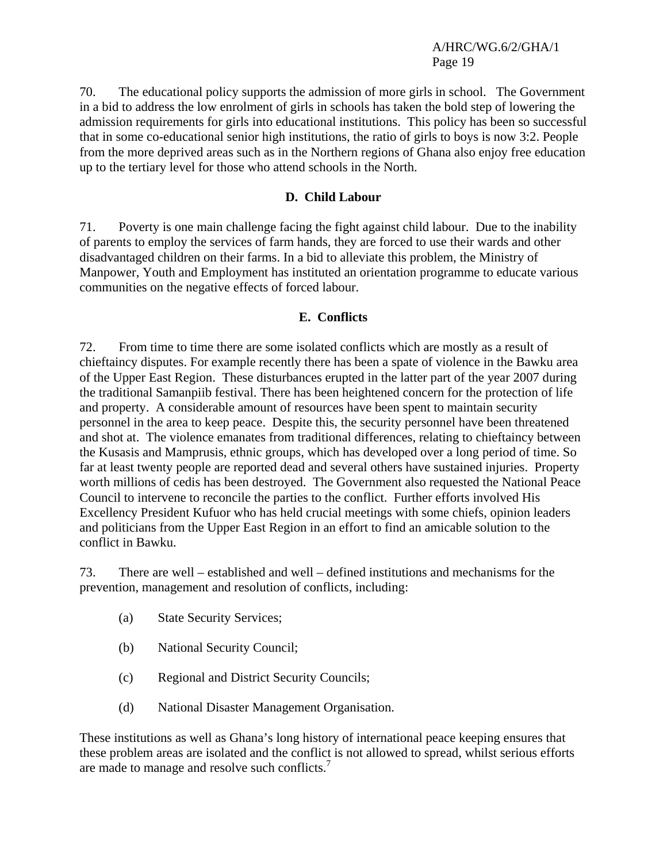70. The educational policy supports the admission of more girls in school. The Government in a bid to address the low enrolment of girls in schools has taken the bold step of lowering the admission requirements for girls into educational institutions. This policy has been so successful that in some co-educational senior high institutions, the ratio of girls to boys is now 3:2. People from the more deprived areas such as in the Northern regions of Ghana also enjoy free education up to the tertiary level for those who attend schools in the North.

#### **D. Child Labour**

71. Poverty is one main challenge facing the fight against child labour. Due to the inability of parents to employ the services of farm hands, they are forced to use their wards and other disadvantaged children on their farms. In a bid to alleviate this problem, the Ministry of Manpower, Youth and Employment has instituted an orientation programme to educate various communities on the negative effects of forced labour.

#### **E. Conflicts**

72. From time to time there are some isolated conflicts which are mostly as a result of chieftaincy disputes. For example recently there has been a spate of violence in the Bawku area of the Upper East Region. These disturbances erupted in the latter part of the year 2007 during the traditional Samanpiib festival. There has been heightened concern for the protection of life and property. A considerable amount of resources have been spent to maintain security personnel in the area to keep peace. Despite this, the security personnel have been threatened and shot at. The violence emanates from traditional differences, relating to chieftaincy between the Kusasis and Mamprusis, ethnic groups, which has developed over a long period of time. So far at least twenty people are reported dead and several others have sustained injuries. Property worth millions of cedis has been destroyed. The Government also requested the National Peace Council to intervene to reconcile the parties to the conflict. Further efforts involved His Excellency President Kufuor who has held crucial meetings with some chiefs, opinion leaders and politicians from the Upper East Region in an effort to find an amicable solution to the conflict in Bawku.

73. There are well – established and well – defined institutions and mechanisms for the prevention, management and resolution of conflicts, including:

- (a) State Security Services;
- (b) National Security Council;
- (c) Regional and District Security Councils;
- (d) National Disaster Management Organisation.

These institutions as well as Ghana's long history of international peace keeping ensures that these problem areas are isolated and the conflict is not allowed to spread, whilst serious efforts are made to manage and resolve such conflicts.<sup>7</sup>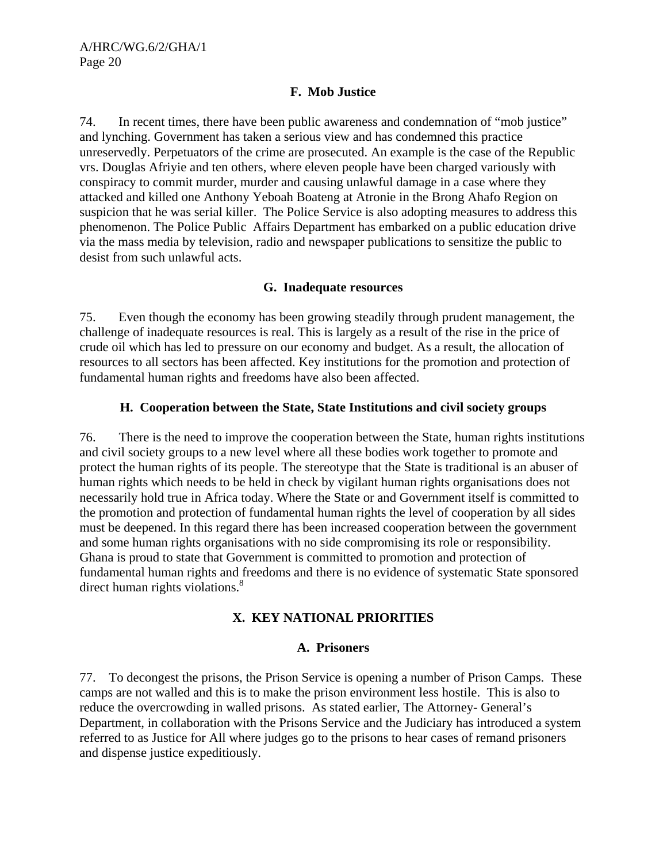#### **F. Mob Justice**

74. In recent times, there have been public awareness and condemnation of "mob justice" and lynching. Government has taken a serious view and has condemned this practice unreservedly. Perpetuators of the crime are prosecuted. An example is the case of the Republic vrs. Douglas Afriyie and ten others, where eleven people have been charged variously with conspiracy to commit murder, murder and causing unlawful damage in a case where they attacked and killed one Anthony Yeboah Boateng at Atronie in the Brong Ahafo Region on suspicion that he was serial killer. The Police Service is also adopting measures to address this phenomenon. The Police Public Affairs Department has embarked on a public education drive via the mass media by television, radio and newspaper publications to sensitize the public to desist from such unlawful acts.

#### **G. Inadequate resources**

75. Even though the economy has been growing steadily through prudent management, the challenge of inadequate resources is real. This is largely as a result of the rise in the price of crude oil which has led to pressure on our economy and budget. As a result, the allocation of resources to all sectors has been affected. Key institutions for the promotion and protection of fundamental human rights and freedoms have also been affected.

# **H. Cooperation between the State, State Institutions and civil society groups**

76. There is the need to improve the cooperation between the State, human rights institutions and civil society groups to a new level where all these bodies work together to promote and protect the human rights of its people. The stereotype that the State is traditional is an abuser of human rights which needs to be held in check by vigilant human rights organisations does not necessarily hold true in Africa today. Where the State or and Government itself is committed to the promotion and protection of fundamental human rights the level of cooperation by all sides must be deepened. In this regard there has been increased cooperation between the government and some human rights organisations with no side compromising its role or responsibility. Ghana is proud to state that Government is committed to promotion and protection of fundamental human rights and freedoms and there is no evidence of systematic State sponsored direct human rights violations.<sup>8</sup>

# **X. KEY NATIONAL PRIORITIES**

#### **A. Prisoners**

77. To decongest the prisons, the Prison Service is opening a number of Prison Camps. These camps are not walled and this is to make the prison environment less hostile. This is also to reduce the overcrowding in walled prisons. As stated earlier, The Attorney- General's Department, in collaboration with the Prisons Service and the Judiciary has introduced a system referred to as Justice for All where judges go to the prisons to hear cases of remand prisoners and dispense justice expeditiously.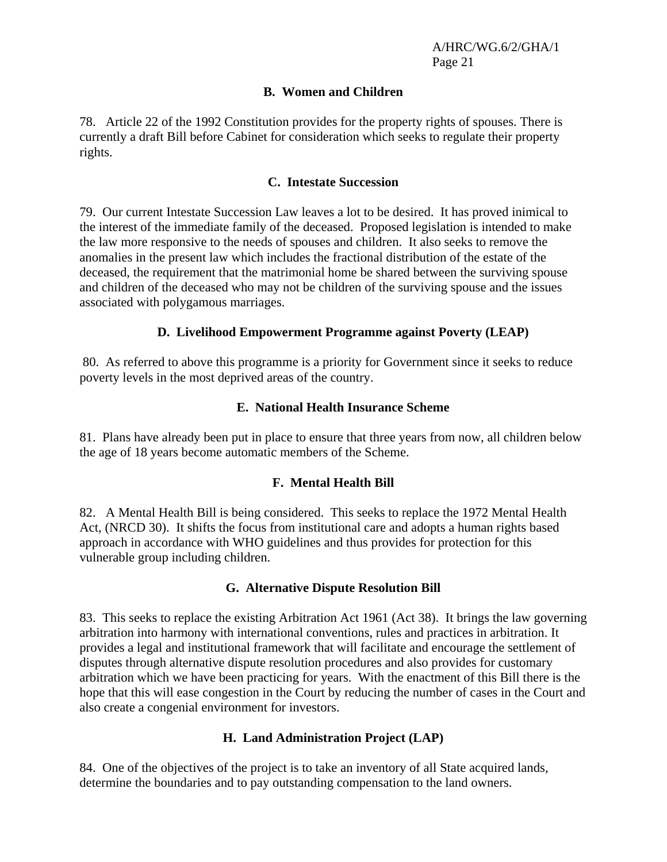#### **B. Women and Children**

78. Article 22 of the 1992 Constitution provides for the property rights of spouses. There is currently a draft Bill before Cabinet for consideration which seeks to regulate their property rights.

#### **C. Intestate Succession**

79. Our current Intestate Succession Law leaves a lot to be desired. It has proved inimical to the interest of the immediate family of the deceased. Proposed legislation is intended to make the law more responsive to the needs of spouses and children. It also seeks to remove the anomalies in the present law which includes the fractional distribution of the estate of the deceased, the requirement that the matrimonial home be shared between the surviving spouse and children of the deceased who may not be children of the surviving spouse and the issues associated with polygamous marriages.

#### **D. Livelihood Empowerment Programme against Poverty (LEAP)**

 80. As referred to above this programme is a priority for Government since it seeks to reduce poverty levels in the most deprived areas of the country.

#### **E. National Health Insurance Scheme**

81. Plans have already been put in place to ensure that three years from now, all children below the age of 18 years become automatic members of the Scheme.

#### **F. Mental Health Bill**

82. A Mental Health Bill is being considered. This seeks to replace the 1972 Mental Health Act, (NRCD 30). It shifts the focus from institutional care and adopts a human rights based approach in accordance with WHO guidelines and thus provides for protection for this vulnerable group including children.

#### **G. Alternative Dispute Resolution Bill**

83. This seeks to replace the existing Arbitration Act 1961 (Act 38). It brings the law governing arbitration into harmony with international conventions, rules and practices in arbitration. It provides a legal and institutional framework that will facilitate and encourage the settlement of disputes through alternative dispute resolution procedures and also provides for customary arbitration which we have been practicing for years. With the enactment of this Bill there is the hope that this will ease congestion in the Court by reducing the number of cases in the Court and also create a congenial environment for investors.

#### **H. Land Administration Project (LAP)**

84. One of the objectives of the project is to take an inventory of all State acquired lands, determine the boundaries and to pay outstanding compensation to the land owners.